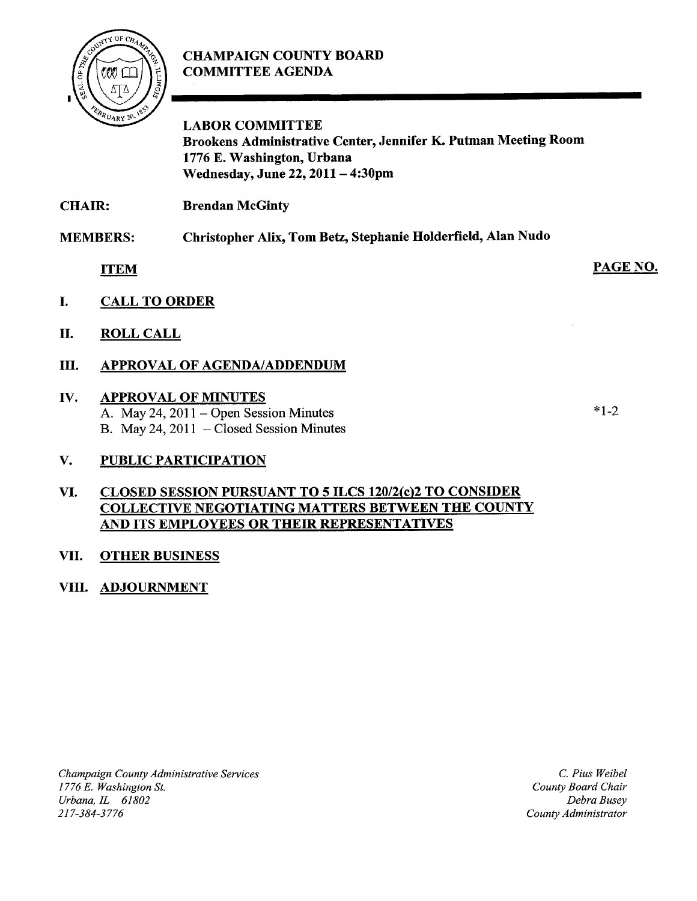# CHAMPAIGN COUNTY BOARD COMMITTEE AGENDA



LABOR COMMITTEE Brookens Administrative Center, Jennifer K. Putman Meeting Room 1776 E. Washington, Urbana Wednesday, June 22, <sup>2011</sup> — 4:30pm

CHAIR: **Brendan McGinty** 

MEMBERS: Christopher Alix, Tom Betz, Stephanie Holderfield, Alan Nudo

ITEM

- I. CALL TO ORDER
- II. ROLL CALL
- III. APPROVAL OF AGENDA/ADDENDUM

## W. APPROVAL OF MINUTES

A. May 24, 2011 — Open Session Minutes B. May 24, 2011 — Closed Session Minutes

## V. PUBLIC PARTICIPATION

## VI. CLOSED SESSION PURSUANT TO 5 ILCS 120/2(c)2 TO CONSIDER COLLECTIVE NEGOTIATING MATTERS BETWEEN THE COUNTY AND ITS EMPLOYEES OR THEIR REPRESENTATIVES

## VII. OTHER BUSINESS

## VIII. ADJOURNMENT

C. Pius Weibel County Board Chair Debra Busey County Administrator

#### $*1.2$

PAGE NO.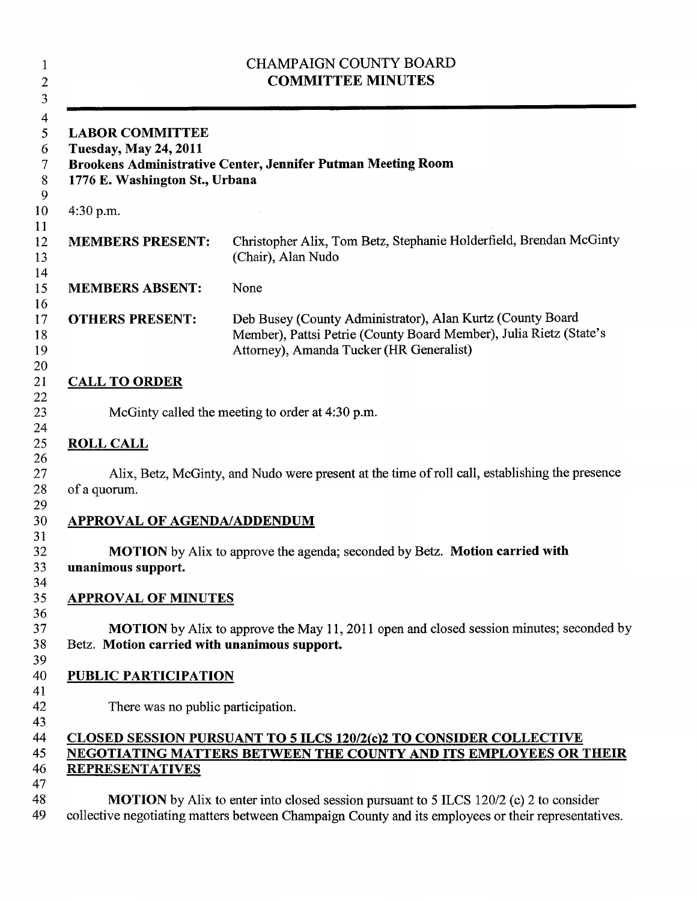| <b>CHAMPAIGN COUNTY BOARD</b><br><b>COMMITTEE MINUTES</b><br><b>LABOR COMMITTEE</b><br><b>Tuesday, May 24, 2011</b><br><b>Brookens Administrative Center, Jennifer Putman Meeting Room</b><br>1776 E. Washington St., Urbana |                                                                                                                                                                                                      |
|------------------------------------------------------------------------------------------------------------------------------------------------------------------------------------------------------------------------------|------------------------------------------------------------------------------------------------------------------------------------------------------------------------------------------------------|
|                                                                                                                                                                                                                              |                                                                                                                                                                                                      |
| <b>MEMBERS PRESENT:</b>                                                                                                                                                                                                      | Christopher Alix, Tom Betz, Stephanie Holderfield, Brendan McGinty<br>(Chair), Alan Nudo                                                                                                             |
| <b>MEMBERS ABSENT:</b>                                                                                                                                                                                                       | None                                                                                                                                                                                                 |
| <b>OTHERS PRESENT:</b>                                                                                                                                                                                                       | Deb Busey (County Administrator), Alan Kurtz (County Board<br>Member), Pattsi Petrie (County Board Member), Julia Rietz (State's<br>Attorney), Amanda Tucker (HR Generalist)                         |
| <b>CALL TO ORDER</b>                                                                                                                                                                                                         |                                                                                                                                                                                                      |
|                                                                                                                                                                                                                              | McGinty called the meeting to order at 4:30 p.m.                                                                                                                                                     |
| <b>ROLL CALL</b><br>of a quorum.                                                                                                                                                                                             | Alix, Betz, McGinty, and Nudo were present at the time of roll call, establishing the presence                                                                                                       |
| <b>APPROVAL OF AGENDA/ADDENDUM</b>                                                                                                                                                                                           |                                                                                                                                                                                                      |
| unanimous support.                                                                                                                                                                                                           | MOTION by Alix to approve the agenda; seconded by Betz. Motion carried with                                                                                                                          |
| <b>APPROVAL OF MINUTES</b>                                                                                                                                                                                                   |                                                                                                                                                                                                      |
| Betz. Motion carried with unanimous support.                                                                                                                                                                                 | <b>MOTION</b> by Alix to approve the May 11, 2011 open and closed session minutes; seconded by                                                                                                       |
| <b>PUBLIC PARTICIPATION</b>                                                                                                                                                                                                  |                                                                                                                                                                                                      |
| There was no public participation.                                                                                                                                                                                           |                                                                                                                                                                                                      |
| <b>REPRESENTATIVES</b>                                                                                                                                                                                                       | <b>CLOSED SESSION PURSUANT TO 5 ILCS 120/2(c)2 TO CONSIDER COLLECTIVE</b><br><b>NEGOTIATING MATTERS BETWEEN THE COUNTY AND ITS EMPLOYEES OR THEIR</b>                                                |
|                                                                                                                                                                                                                              | <b>MOTION</b> by Alix to enter into closed session pursuant to 5 ILCS 120/2 (c) 2 to consider<br>collective negotiating matters between Champaign County and its employees or their representatives. |